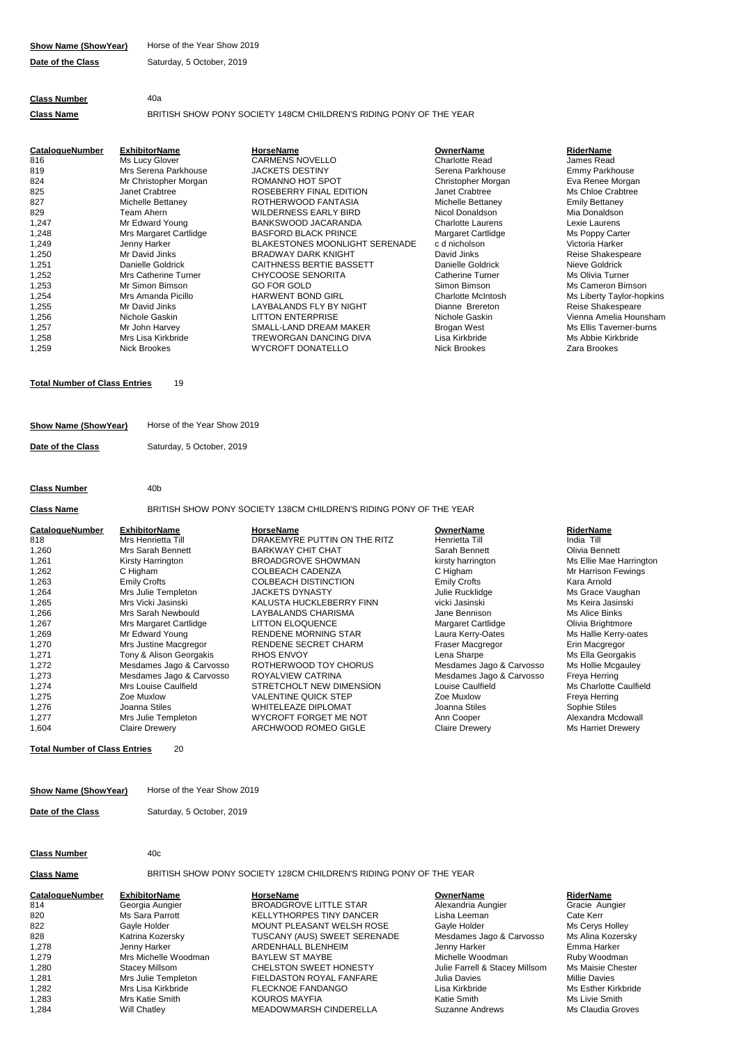| <b>Class Number</b> | 40a |
|---------------------|-----|

**Class Name** BRITISH SHOW PONY SOCIETY 148CM CHILDREN'S RIDING PONY OF THE YEAR

| <b>CatalogueNumber</b> | <b>ExhibitorName</b>   | <b>HorseName</b>                      | <b>OwnerName</b>          | RiderName             |
|------------------------|------------------------|---------------------------------------|---------------------------|-----------------------|
| 816                    | Ms Lucy Glover         | <b>CARMENS NOVELLO</b>                | Charlotte Read            | James Read            |
| 819                    | Mrs Serena Parkhouse   | <b>JACKETS DESTINY</b>                | Serena Parkhouse          | Emmy Parkhor          |
| 824                    | Mr Christopher Morgan  | ROMANNO HOT SPOT                      | Christopher Morgan        | Eva Renee Mo          |
| 825                    | Janet Crabtree         | ROSEBERRY FINAL EDITION               | Janet Crabtree            | Ms Chloe Crab         |
| 827                    | Michelle Bettaney      | ROTHERWOOD FANTASIA                   | Michelle Bettaney         | <b>Emily Bettaney</b> |
| 829                    | Team Ahern             | <b>WILDERNESS EARLY BIRD</b>          | Nicol Donaldson           | Mia Donaldsor         |
| 1,247                  | Mr Edward Young        | BANKSWOOD JACARANDA                   | <b>Charlotte Laurens</b>  | Lexie Laurens         |
| 1,248                  | Mrs Margaret Cartlidge | <b>BASFORD BLACK PRINCE</b>           | Margaret Cartlidge        | Ms Poppy Cart         |
| 1,249                  | Jenny Harker           | <b>BLAKESTONES MOONLIGHT SERENADE</b> | c d nicholson             | Victoria Harker       |
| 1,250                  | Mr David Jinks         | <b>BRADWAY DARK KNIGHT</b>            | David Jinks               | <b>Reise Shakesp</b>  |
| 1,251                  | Danielle Goldrick      | CAITHNESS BERTIE BASSETT              | Danielle Goldrick         | Nieve Goldrick        |
| 1,252                  | Mrs Catherine Turner   | <b>CHYCOOSE SENORITA</b>              | <b>Catherine Turner</b>   | Ms Olivia Turn        |
| 1,253                  | Mr Simon Bimson        | <b>GO FOR GOLD</b>                    | Simon Bimson              | Ms Cameron B          |
| 1,254                  | Mrs Amanda Picillo     | <b>HARWENT BOND GIRL</b>              | <b>Charlotte McIntosh</b> | Ms Liberty Tay        |
| 1,255                  | Mr David Jinks         | LAYBALANDS FLY BY NIGHT               | Dianne Brereton           | <b>Reise Shakesp</b>  |
| 1,256                  | Nichole Gaskin         | <b>LITTON ENTERPRISE</b>              | Nichole Gaskin            | Vienna Amelia         |
| 1,257                  | Mr John Harvey         | SMALL-LAND DREAM MAKER                | Brogan West               | Ms Ellis Taverr       |
| 1,258                  | Mrs Lisa Kirkbride     | TREWORGAN DANCING DIVA                | Lisa Kirkbride            | Ms Abbie Kirkb        |
| 1,259                  | <b>Nick Brookes</b>    | <b>WYCROFT DONATELLO</b>              | <b>Nick Brookes</b>       | Zara Brookes          |

# **Total Number of Class Entries** 19

| Show Name (ShowYear) | Horse of the Year Show 2019 |
|----------------------|-----------------------------|
| Date of the Class    | Saturday, 5 October, 2019   |

## **Class Number** 40b

**Class Name** BRITISH SHOW PONY SOCIETY 138CM CHILDREN'S RIDING PONY OF THE YEAR

| CatalogueNumber | <b>ExhibitorName</b>     | <b>HorseName</b>             | <b>OwnerName</b>          | RiderName                 |
|-----------------|--------------------------|------------------------------|---------------------------|---------------------------|
| 818             | Mrs Henrietta Till       | DRAKEMYRE PUTTIN ON THE RITZ | Henrietta Till            | India Till                |
| 1.260           | Mrs Sarah Bennett        | <b>BARKWAY CHIT CHAT</b>     | Sarah Bennett             | Olivia Bennett            |
| 1,261           | Kirsty Harrington        | BROADGROVE SHOWMAN           | kirsty harrington         | Ms Ellie Mae Harringtor   |
| 1,262           | C Higham                 | <b>COLBEACH CADENZA</b>      | C Higham                  | Mr Harrison Fewings       |
| 1.263           | <b>Emily Crofts</b>      | <b>COLBEACH DISTINCTION</b>  | <b>Emily Crofts</b>       | Kara Arnold               |
| 1,264           | Mrs Julie Templeton      | <b>JACKETS DYNASTY</b>       | Julie Rucklidge           | Ms Grace Vaughan          |
| 1,265           | Mrs Vicki Jasinski       | KALUSTA HUCKLEBERRY FINN     | vicki Jasinski            | Ms Keira Jasinski         |
| 1,266           | Mrs Sarah Newbould       | LAYBALANDS CHARISMA          | Jane Bennison             | Ms Alice Binks            |
| 1.267           | Mrs Margaret Cartlidge   | <b>LITTON ELOQUENCE</b>      | <b>Margaret Cartlidge</b> | Olivia Brightmore         |
| 1.269           | Mr Edward Young          | <b>RENDENE MORNING STAR</b>  | Laura Kerry-Oates         | Ms Hallie Kerry-oates     |
| 1.270           | Mrs Justine Macgregor    | <b>RENDENE SECRET CHARM</b>  | Fraser Macgregor          | Erin Macgregor            |
| 1.271           | Tony & Alison Georgakis  | <b>RHOS ENVOY</b>            | Lena Sharpe               | Ms Ella Georgakis         |
| 1,272           | Mesdames Jago & Carvosso | ROTHERWOOD TOY CHORUS        | Mesdames Jago & Carvosso  | Ms Hollie Mcgauley        |
| 1.273           | Mesdames Jago & Carvosso | ROYALVIEW CATRINA            | Mesdames Jago & Carvosso  | Freya Herring             |
| 1,274           | Mrs Louise Caulfield     | STRETCHOLT NEW DIMENSION     | Louise Caulfield          | Ms Charlotte Caulfield    |
| 1,275           | Zoe Muxlow               | <b>VALENTINE QUICK STEP</b>  | Zoe Muxlow                | Freya Herring             |
| 1,276           | Joanna Stiles            | <b>WHITELEAZE DIPLOMAT</b>   | Joanna Stiles             | Sophie Stiles             |
| 1.277           | Mrs Julie Templeton      | WYCROFT FORGET ME NOT        | Ann Cooper                | Alexandra Mcdowall        |
| 1,604           | <b>Claire Drewery</b>    | ARCHWOOD ROMEO GIGLE         | <b>Claire Drewery</b>     | <b>Ms Harriet Drewery</b> |

# **Total Number of Class Entries** 20

| Show Name (ShowYear) | Horse of the Year Show 2019 |
|----------------------|-----------------------------|
| Date of the Class    | Saturday, 5 October, 2019   |

# **Class Number** 40c

**Class Name** BRITISH SHOW PONY SOCIETY 128CM CHILDREN'S RIDING PONY OF THE YEAR

**CatalogueNumber ExhibitorName**<br> **CatalogueNumber ExhibitorName**<br> **BROADGROVE LITTLE STAR OwnerName**<br>
Alexandria Aungier **CatalogueNumber CatalogueNumber** 814 Alexandria Aungier Georgia Aungier BROADGROVE LITTLE STAR Gracie Aungier 820 Lisha Leeman Ms Sara Parrott KELLYTHORPES TINY DANCER Cate Kerr 822 Gayle Holder Gayle Holder MOUNT PLEASANT WELSH ROSE Ms Cerys Holley 828 Mesdames Jago & Carvosso Ms Alina Kozersky TUSCANY (AUS) SWEET SERENADE Mesdames Jago & Carvosso Ms Alina Kozersky 1,278 Jenny Harker Jenny Harker ARDENHALL BLENHEIM Emma Harker 1,279 Michelle Woodman Mrs Michelle Woodman BAYLEW ST MAYBE Ruby Woodman 1,280 Stacey Millsom CHELSTON SWEET HONESTY Julie Farrell & Stacey Millsom Ms Maisie Chester 1,281 Mrs Julie Templeton FIELDASTON ROYAL FANFARE Julia Davies Millie Davies 1,282 **Mrs Lisa Kirkbride THE FLECKNOE FANDANGO** Lisa Kirkbride Ms Esther Kirkbride 1,283 Mrs Katie Smith Mrs Kotte Smith KOUROS MAYFIA Museum of Artic Smith Ms Livie Smith 1,284 Will Chatley MEADOWMARSH CINDERELLA Suzanne Andrews Ms Claudia Groves **ExhibitorName HorseName HorseName HorseName RiderName RiderName RiderName Georgia Aungier Gracie Aungier Cracie Aungier Cracie Aungier Cracie Aungier Cracie Aungier Cracie Aungier** 

Ms Poppy Carter )<br>Inicholson Victoria Harker و<br>Inicholson Neise Shakesp Ms Cameron Bimson Emmy Parkhouse Ms Olivia Turner Reise Shakespeare<br>Nieve Goldrick Reise Shakespeare chole Gaskin LITTON Externa Amelia Hounsham<br>Alitton Ellis Taverner-burns Ms Liberty Taylor-hopkins Mr John Harvey SMALL-LAND DREAM MAKER Ms Ellis Taverner-burns Eva Renee Morgan Ms Chloe Crabtree<br>Emily Bettaney Mia Donaldson<br>Lexie Laurens Mrs Lisa Kirkbride TREWORGAN DANCING DIVA Ms Abbie Kirkbride